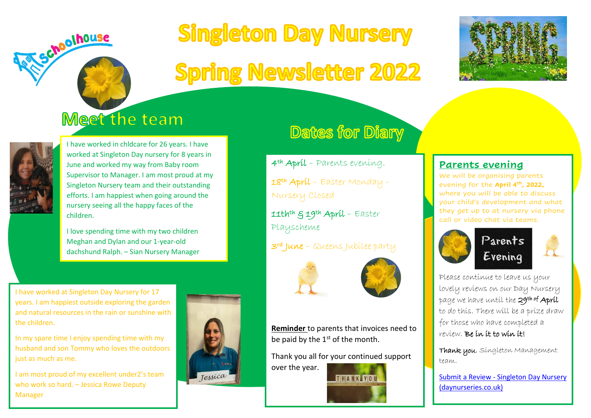# **Singleton Day Nursery**

## **Spring Newsletter 2022**



### Meet the team



Schoolhouse

I have worked in chldcare for 26 years. I have worked at Singleton Day nursery for 8 years in June and worked my way from Baby room Supervisor to Manager. I am most proud at my Singleton Nursery team and their outstanding efforts. I am happiest when going around the nursery seeing all the happy faces of the children.

I love spending time with my two children Meghan and Dylan and our 1-year-old dachshund Ralph. – Sian Nursery Manager

I have worked at Singleton Day Nursery for 17 years. I am happiest outside exploring the garden and natural resources in the rain or sunshine with the children.

In my spare time I enjoy spending time with my husband and son Tommy who loves the outdoors just as much as me.

I am most proud of my excellent under2's team who work so hard. – Jessica Rowe Deputy Manager



### **Dates for Diary**

4<sup>th</sup> Apríl - Parents evening. 18th Apríl – Easter Monday -Nursery Closed

11thth & 19th April – Easter Playscheme

3rd June – Queens Jubilee party



**Reminder** to parents that invoices need to be paid by the  $1<sup>st</sup>$  of the month.

Thank you all for your continued support over the year.



#### **Parents evening**

We will be organising parents evening for the **April 4th, 2022,** where you will be able to discuss your child's development and what they get up to at nursery via phone call or video chat via teams.





Please continue to leave us your lovely reviews on our Day Nursery page we have until the **29<sup>th of</sup> April** to do this. There will be a prize draw for those who have completed a review. Be in it to win it!

Thank you, Singleton Management team.

Submit a Review - [Singleton Day Nursery](https://www.daynurseries.co.uk/review-submit/6543219117)  [\(daynurseries.co.uk\)](https://www.daynurseries.co.uk/review-submit/6543219117)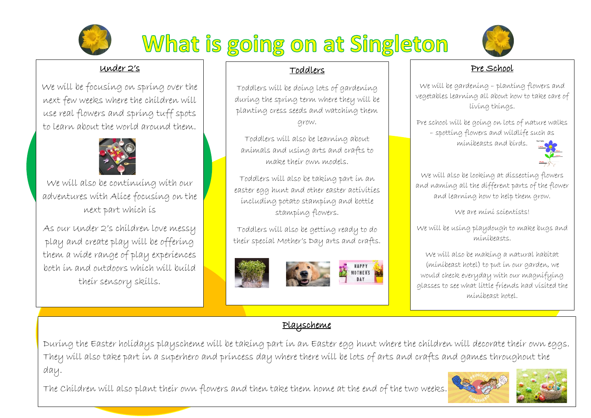

## What is going on at Singleton



#### Under 2's

We will be focusing on spring over the next few weeks where the children will use real flowers and spring tuff spots to learn about the world around them.



We will also be continuing with our adventures with Alice focusing on the next part which is

As our Under 2's children love messy play and create play will be offering them a wide range of play experiences both in and outdoors which will build their sensory skills.

#### Toddlers

Toddlers will be doing lots of gardening during the spring term where they will be planting cress seeds and watching them grow.

Toddlers will also be learning about animals and using arts and crafts to make their own models.

Toddlers will also be taking part in an easter egg hunt and other easter activities including potato stamping and bottle stamping flowers.

Toddlers will also be getting ready to do their special Mother's Day arts and crafts.



#### Pre School

We will be gardening – planting flowers and vegetables learning all about how to take care of living things.

Pre school will be going on lots of nature walks – spotting flowers and wildlife such as minibeasts and birds.



We will also be looking at dissecting flowers and naming all the different parts of the flower and learning how to help them grow.

We are mini scientists!

We will be using playdough to make bugs and minibeasts.

We will also be making a natural habitat (minibeast hotel) to put in our garden, we would check everyday with our magnifying glasses to see what little friends had visited the minibeast hotel.

#### Playscheme

During the Easter holidays playscheme will be taking part in an Easter egg hunt where the children will decorate their own eggs. They will also take part in a superhero and princess day where there will be lots of arts and crafts and games throughout the day.

The Children will also plant their own flowers and then take them home at the end of the two weeks.